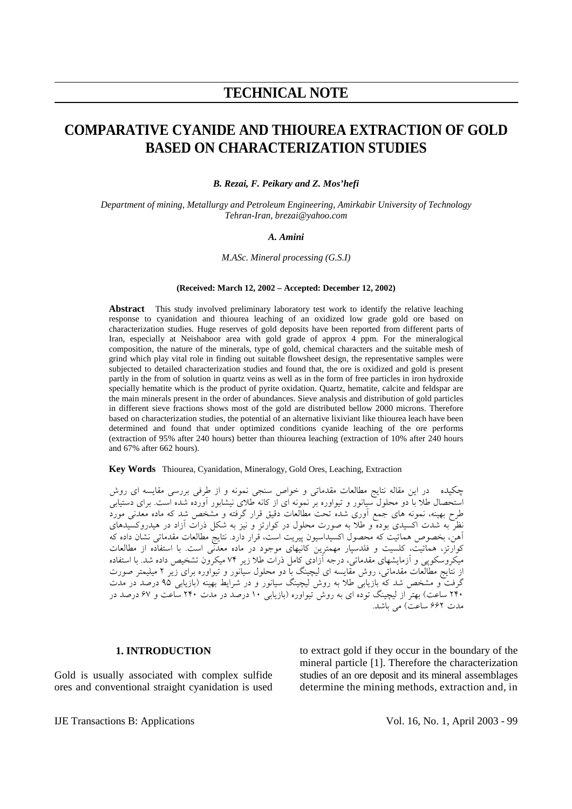## **TECHNICAL NOTE**

# **COMPARATIVE CYANIDE AND THIOUREA EXTRACTION OF GOLD BASED ON CHARACTERIZATION STUDIES**

*B. Rezai, F. Peikary and Z. Mos'hefi* 

*Department of mining, Metallurgy and Petroleum Engineering, Amirkabir University of Technology Tehran-Iran, brezai@yahoo.com*

#### *A. Amini*

*M.ASc. Mineral processing (G.S.I)* 

#### **(Received: March 12, 2002 – Accepted: December 12, 2002)**

**Abstract** This study involved preliminary laboratory test work to identify the relative leaching response to cyanidation and thiourea leaching of an oxidized low grade gold ore based on characterization studies. Huge reserves of gold deposits have been reported from different parts of Iran, especially at Neishaboor area with gold grade of approx 4 ppm. For the mineralogical composition, the nature of the minerals, type of gold, chemical characters and the suitable mesh of grind which play vital role in finding out suitable flowsheet design, the representative samples were subjected to detailed characterization studies and found that, the ore is oxidized and gold is present partly in the from of solution in quartz veins as well as in the form of free particles in iron hydroxide specially hematite which is the product of pyrite oxidation. Quartz, hematite, calcite and feldspar are the main minerals present in the order of abundances. Sieve analysis and distribution of gold particles in different sieve fractions shows most of the gold are distributed bellow 2000 microns. Therefore based on characterization studies, the potential of an alternative lixiviant like thiourea leach have been determined and found that under optimized conditions cyanide leaching of the ore performs (extraction of 95% after 240 hours) better than thiourea leaching (extraction of 10% after 240 hours and 67% after 662 hours).

**Key Words** Thiourea, Cyanidation, Mineralogy, Gold Ores, Leaching, Extraction

چكيده در اين مقاله نتايج مطالعات مقدماتي و خواص سنجي نمونه و از طرفي بررسي مقايسه اي روش استحصال طلا با دو محلول سيانور و تيواوره بر نمونه اي از كانه طلاي نيشابور آورده شده است. براي دستيابي طرح بهينه، نمونه هاي جمع آوري شده تحت مطالعات دقيق قرار گرفته و مشخص شد كه ماده معدني مورد نظر به شدت اكسيدي بوده و طلا به صورت محلول در كوارتز و نيز به شكل ذرات آزاد در هيدروكسيدهاي آهن، بخصوص هماتيت كه محصول اكسيداسيون پيريت است، قرار دارد. نتايج مطالعات مقدماتي نشان داده كه كوارتز، هماتيت، كلسيت و فلدسپار مهمترين كانيهاي موجود در ماده معدني است. با استفاده از مطالعات ميكروسكوپي و آزمايشهاي مقدماتي، درجه آزادي كامل ذرات طلا زير ۷۴ ميكرون تشخيص داده شد. با استفاده از نتايج مطالعات مقدماتي، روش مقايسه اي ليچينگ با دو محلول سيانور و تيواوره براي زير ۲ ميليمتر صورت گرفت و مشخص شد كه بازيابي طلا به روش ليچينگ سيانور و در شرايط بهينه (بازيابي ۹۵ درصد در مدت ۲۴۰ ساعت) بهتر از ليچينگ توده اي به روش تيواوره (بازيابي ۱۰ درصد در مدت ۲۴۰ ساعت و ۶۷ درصد در مدت ۶۶۲ ساعت) مي باشد.

#### **1. INTRODUCTION**

Gold is usually associated with complex sulfide ores and conventional straight cyanidation is used to extract gold if they occur in the boundary of the mineral particle [1]. Therefore the characterization studies of an ore deposit and its mineral assemblages determine the mining methods, extraction and, in

IJE Transactions B: Applications Vol. 16, No. 1, April 2003 - 99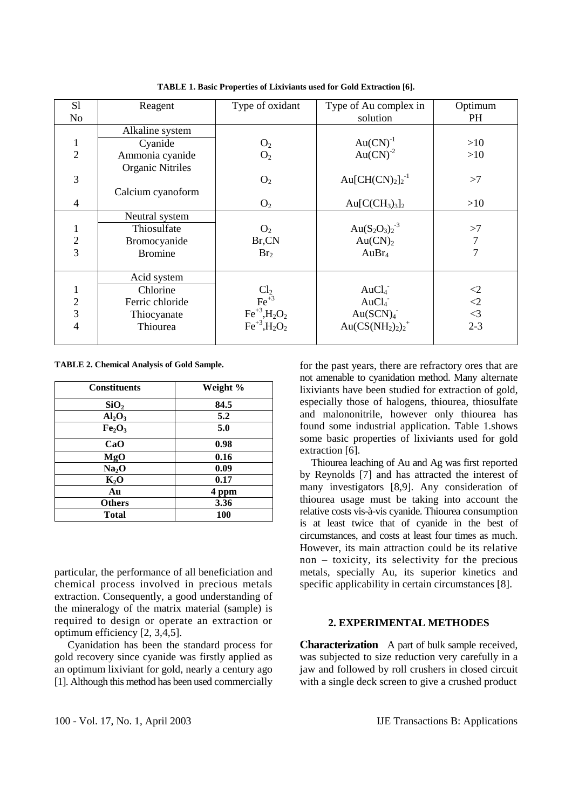| S1             | Reagent                 | Type of oxidant           | Type of Au complex in            | Optimum        |
|----------------|-------------------------|---------------------------|----------------------------------|----------------|
| No             |                         |                           | solution                         | <b>PH</b>      |
|                | Alkaline system         |                           |                                  |                |
| 1              | Cyanide                 | O <sub>2</sub>            | $Au(CN)^{-1}$                    | >10            |
| $\overline{2}$ | Ammonia cyanide         | O <sub>2</sub>            | $Au(CN)^{-2}$                    | >10            |
|                | <b>Organic Nitriles</b> |                           |                                  |                |
| 3              |                         | O <sub>2</sub>            | Au $\text{[CH(CN)2]2^{-1}$       | >7             |
|                | Calcium cyanoform       |                           |                                  |                |
| $\overline{4}$ |                         | O <sub>2</sub>            | $Au[C(CH3)3]$ <sub>2</sub>       | >10            |
|                | Neutral system          |                           |                                  |                |
|                | Thiosulfate             | O <sub>2</sub>            | Au $(S_2O_3)_2^{-3}$             | >7             |
| $\frac{2}{3}$  | Bromocyanide            | Br,CN                     | Au(CN) <sub>2</sub>              | $\overline{7}$ |
|                | <b>Bromine</b>          | Br <sub>2</sub>           | AuBr <sub>4</sub>                | 7              |
|                |                         |                           |                                  |                |
|                | Acid system             |                           |                                  |                |
|                | Chlorine                | $Cl2$<br>Fe <sup>+3</sup> | AuCl <sub>4</sub>                | $\leq$         |
| $\mathbf{2}$   | Ferric chloride         |                           | AuCl <sub>4</sub>                | $\leq$ 2       |
| 3              | Thiocyanate             | $Fe^{+3}$ , $H_2O_2$      | Au(SCN) <sub>4</sub>             | $\leq$ 3       |
| 4              | Thiourea                | $Fe^{+3}$ , $H_2O_2$      | Au $\left(CS(NH_2)_2\right)_2^+$ | $2 - 3$        |
|                |                         |                           |                                  |                |

**TABLE 1. Basic Properties of Lixiviants used for Gold Extraction [6].** 

**TABLE 2. Chemical Analysis of Gold Sample.** 

| <b>Constituents</b>            | Weight %   |
|--------------------------------|------------|
| SiO <sub>2</sub>               | 84.5       |
| Al <sub>2</sub> O <sub>3</sub> | 5.2        |
| Fe <sub>2</sub> O <sub>3</sub> | 5.0        |
| CaO                            | 0.98       |
| MgO                            | 0.16       |
| Na <sub>2</sub> O              | 0.09       |
| $K_2O$                         | 0.17       |
| Au                             | 4 ppm      |
| <b>Others</b>                  | 3.36       |
| Total                          | <b>100</b> |

particular, the performance of all beneficiation and chemical process involved in precious metals extraction. Consequently, a good understanding of the mineralogy of the matrix material (sample) is required to design or operate an extraction or optimum efficiency [2, 3,4,5].

 Cyanidation has been the standard process for gold recovery since cyanide was firstly applied as an optimum lixiviant for gold, nearly a century ago [1]. Although this method has been used commercially for the past years, there are refractory ores that are not amenable to cyanidation method. Many alternate lixiviants have been studied for extraction of gold, especially those of halogens, thiourea, thiosulfate and malononitrile, however only thiourea has found some industrial application. Table 1.shows some basic properties of lixiviants used for gold extraction [6].

 Thiourea leaching of Au and Ag was first reported by Reynolds [7] and has attracted the interest of many investigators [8,9]. Any consideration of thiourea usage must be taking into account the relative costs vis-à-vis cyanide. Thiourea consumption is at least twice that of cyanide in the best of circumstances, and costs at least four times as much. However, its main attraction could be its relative non – toxicity, its selectivity for the precious metals, specially Au, its superior kinetics and specific applicability in certain circumstances [8].

### **2. EXPERIMENTAL METHODES**

**Characterization** A part of bulk sample received, was subjected to size reduction very carefully in a jaw and followed by roll crushers in closed circuit with a single deck screen to give a crushed product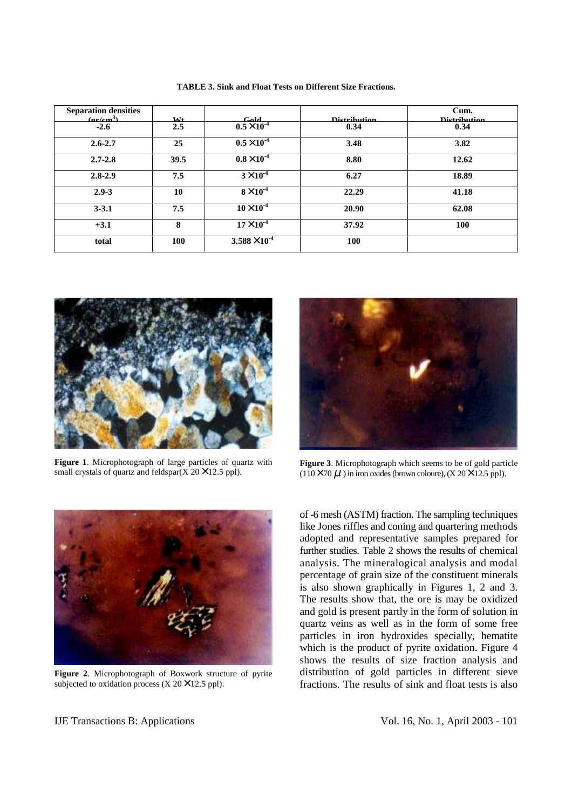| <b>Separation densities</b> |                |                      |                     | Cum.                |
|-----------------------------|----------------|----------------------|---------------------|---------------------|
| $(\text{arlom}^3)$          | M <sub>t</sub> | $C_0$ ld             | <b>Distribution</b> | <b>Distribution</b> |
| $-2.6$                      | 2.5            | $0.5 \times 10^{-4}$ | 0.34                | 0.34                |
| $2.6 - 2.7$                 | 25             | $0.5\times10^{-4}$   | 3.48                | 3.82                |
| $2.7 - 2.8$                 | 39.5           | $0.8\times10^{-4}$   | 8.80                | 12.62               |
| $2.8 - 2.9$                 | 7.5            | $3\times10^{-4}$     | 6.27                | 18.89               |
| $2.9 - 3$                   | 10             | $8\times10^{-4}$     | 22.29               | 41.18               |
| $3 - 3.1$                   | 7.5            | $10\times10^{-4}$    | 20.90               | 62.08               |
| $+3.1$                      | 8              | $17\times10^{-4}$    | 37.92               | 100                 |
| total                       | 100            | $3.588\times10^{-4}$ | 100                 |                     |

**TABLE 3. Sink and Float Tests on Different Size Fractions.** 



**Figure 1**. Microphotograph of large particles of quartz with small crystals of quartz and feldspar( $\overline{X}$  20 $\times$  12.5 ppl).



**Figure 3**. Microphotograph which seems to be of gold particle  $(110 \times 70 \mu)$  in iron oxides (brown coloure),  $(X 20 \times 12.5$  ppl).



**Figure 2**. Microphotograph of Boxwork structure of pyrite subjected to oxidation process  $(X 20 \times 12.5$  ppl).

of -6 mesh (ASTM) fraction. The sampling techniques like Jones riffles and coning and quartering methods adopted and representative samples prepared for further studies. Table 2 shows the results of chemical analysis. The mineralogical analysis and modal percentage of grain size of the constituent minerals is also shown graphically in Figures 1, 2 and 3. The results show that, the ore is may be oxidized and gold is present partly in the form of solution in quartz veins as well as in the form of some free particles in iron hydroxides specially, hematite which is the product of pyrite oxidation. Figure 4 shows the results of size fraction analysis and distribution of gold particles in different sieve fractions. The results of sink and float tests is also

IJE Transactions B: Applications Vol. 16, No. 1, April 2003 - 101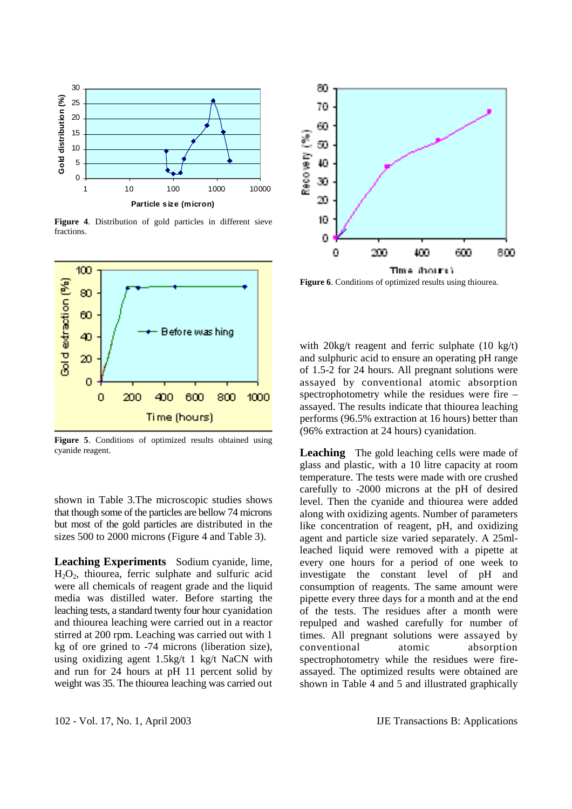

**Figure 4**. Distribution of gold particles in different sieve fractions.



**Figure 5**. Conditions of optimized results obtained using cyanide reagent.

shown in Table 3.The microscopic studies shows that though some of the particles are bellow 74 microns but most of the gold particles are distributed in the sizes 500 to 2000 microns (Figure 4 and Table 3).

**Leaching Experiments** Sodium cyanide, lime,  $H_2O_2$ , thiourea, ferric sulphate and sulfuric acid were all chemicals of reagent grade and the liquid media was distilled water. Before starting the leaching tests, a standard twenty four hour cyanidation and thiourea leaching were carried out in a reactor stirred at 200 rpm. Leaching was carried out with 1 kg of ore grined to -74 microns (liberation size), using oxidizing agent 1.5kg/t 1 kg/t NaCN with and run for 24 hours at pH 11 percent solid by weight was 35. The thiourea leaching was carried out



**Figure 6**. Conditions of optimized results using thiourea.

with 20kg/t reagent and ferric sulphate (10 kg/t) and sulphuric acid to ensure an operating pH range of 1.5-2 for 24 hours. All pregnant solutions were assayed by conventional atomic absorption spectrophotometry while the residues were fire – assayed. The results indicate that thiourea leaching performs (96.5% extraction at 16 hours) better than (96% extraction at 24 hours) cyanidation.

**Leaching** The gold leaching cells were made of glass and plastic, with a 10 litre capacity at room temperature. The tests were made with ore crushed carefully to -2000 microns at the pH of desired level. Then the cyanide and thiourea were added along with oxidizing agents. Number of parameters like concentration of reagent, pH, and oxidizing agent and particle size varied separately. A 25mlleached liquid were removed with a pipette at every one hours for a period of one week to investigate the constant level of pH and consumption of reagents. The same amount were pipette every three days for a month and at the end of the tests. The residues after a month were repulped and washed carefully for number of times. All pregnant solutions were assayed by conventional atomic absorption spectrophotometry while the residues were fireassayed. The optimized results were obtained are shown in Table 4 and 5 and illustrated graphically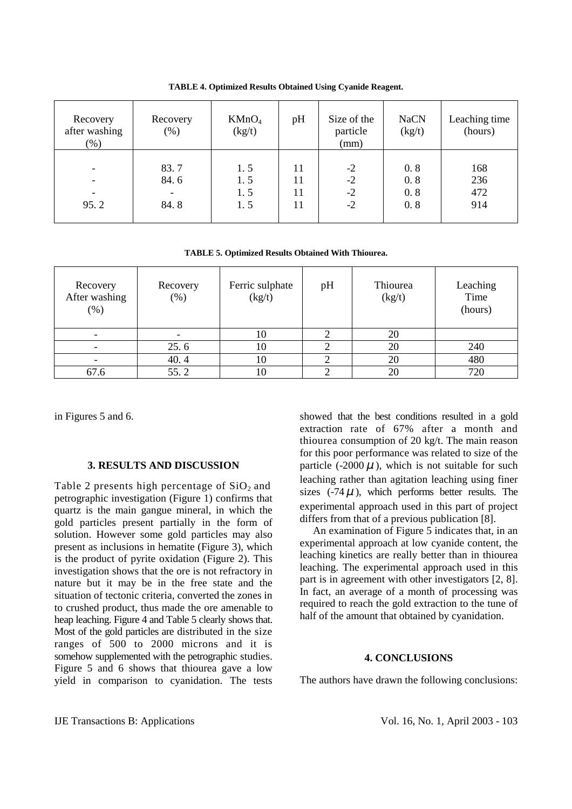| Recovery<br>after washing<br>$(\%)$                               | Recovery<br>$(\% )$  | KMnO <sub>4</sub><br>(kg/t) | pH                   | Size of the<br>particle<br>(mm) | <b>NaCN</b><br>(kg/t)    | Leaching time<br>(hours) |
|-------------------------------------------------------------------|----------------------|-----------------------------|----------------------|---------------------------------|--------------------------|--------------------------|
| -<br>$\overline{\phantom{a}}$<br>$\overline{\phantom{a}}$<br>95.2 | 83.7<br>84.6<br>84.8 | 1.5<br>1.5<br>1.5<br>1.5    | 11<br>11<br>11<br>11 | $-2$<br>$-2$<br>$-2$<br>$-2$    | 0.8<br>0.8<br>0.8<br>0.8 | 168<br>236<br>472<br>914 |

**TABLE 4. Optimized Results Obtained Using Cyanide Reagent.** 

**TABLE 5. Optimized Results Obtained With Thiourea.** 

| Recovery<br>After washing<br>$(\%)$ | Recovery<br>$(\%)$ | Ferric sulphate<br>(kg/t) | pH | Thiourea<br>(kg/t) | Leaching<br>Time<br>(hours) |
|-------------------------------------|--------------------|---------------------------|----|--------------------|-----------------------------|
|                                     |                    | 10                        |    | 20                 |                             |
|                                     | 25.6               | 10                        |    | 20                 | 240                         |
|                                     | 40.4               | 10                        |    | 20                 | 480                         |
| 67.6                                | 55.2               | 10                        |    | 20                 | 720                         |

in Figures 5 and 6.

#### **3. RESULTS AND DISCUSSION**

Table 2 presents high percentage of  $SiO<sub>2</sub>$  and petrographic investigation (Figure 1) confirms that quartz is the main gangue mineral, in which the gold particles present partially in the form of solution. However some gold particles may also present as inclusions in hematite (Figure 3), which is the product of pyrite oxidation (Figure 2). This investigation shows that the ore is not refractory in nature but it may be in the free state and the situation of tectonic criteria, converted the zones in to crushed product, thus made the ore amenable to heap leaching. Figure 4 and Table 5 clearly shows that. Most of the gold particles are distributed in the size ranges of 500 to 2000 microns and it is somehow supplemented with the petrographic studies. Figure 5 and 6 shows that thiourea gave a low yield in comparison to cyanidation. The tests showed that the best conditions resulted in a gold extraction rate of 67% after a month and thiourea consumption of 20 kg/t. The main reason for this poor performance was related to size of the particle (-2000  $\mu$ ), which is not suitable for such leaching rather than agitation leaching using finer sizes  $(-74 \mu)$ , which performs better results. The experimental approach used in this part of project differs from that of a previous publication [8].

An examination of Figure  $\overline{5}$  indicates that, in an experimental approach at low cyanide content, the leaching kinetics are really better than in thiourea leaching. The experimental approach used in this part is in agreement with other investigators [2, 8]. In fact, an average of a month of processing was required to reach the gold extraction to the tune of half of the amount that obtained by cyanidation.

#### **4. CONCLUSIONS**

The authors have drawn the following conclusions: